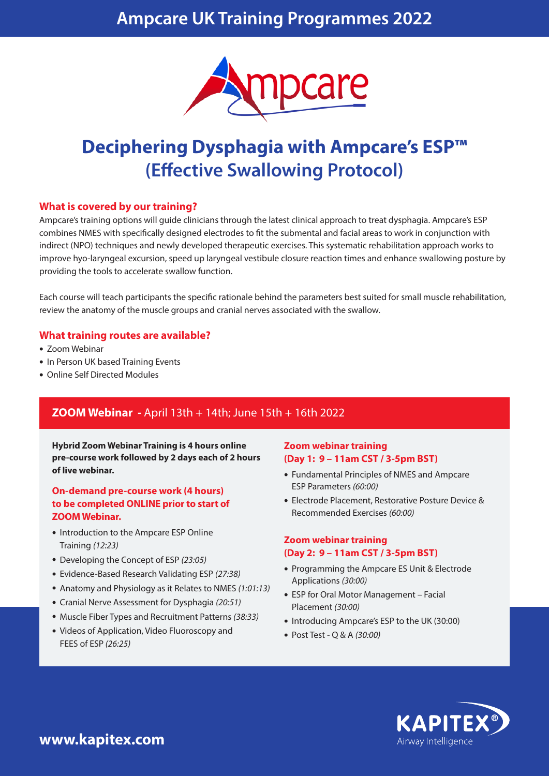## **Ampcare UK Training Programmes 2022**



# **Deciphering Dysphagia with Ampcare's ESP™ (Effective Swallowing Protocol)**

#### **What is covered by our training?**

Ampcare's training options will guide clinicians through the latest clinical approach to treat dysphagia. Ampcare's ESP combines NMES with specifically designed electrodes to fit the submental and facial areas to work in conjunction with indirect (NPO) techniques and newly developed therapeutic exercises. This systematic rehabilitation approach works to improve hyo-laryngeal excursion, speed up laryngeal vestibule closure reaction times and enhance swallowing posture by providing the tools to accelerate swallow function.

Each course will teach participants the specific rationale behind the parameters best suited for small muscle rehabilitation, review the anatomy of the muscle groups and cranial nerves associated with the swallow.

#### **What training routes are available?**

- Zoom Webinar
- In Person UK based Training Events
- Online Self Directed Modules

## **ZOOM Webinar -** April 13th + 14th; June 15th + 16th 2022

**Hybrid Zoom Webinar Training is 4 hours online pre-course work followed by 2 days each of 2 hours of live webinar.**

#### **On-demand pre-course work (4 hours) to be completed ONLINE prior to start of ZOOM Webinar.**

- Introduction to the Ampcare ESP Online Training *(12:23)*
- Developing the Concept of ESP *(23:05)*
- Evidence-Based Research Validating ESP *(27:38)*
- Anatomy and Physiology as it Relates to NMES *(1:01:13)*
- Cranial Nerve Assessment for Dysphagia *(20:51)*
- Muscle Fiber Types and Recruitment Patterns *(38:33)*
- Videos of Application, Video Fluoroscopy and FEES of ESP *(26:25)*

#### **Zoom webinar training (Day 1: 9 – 11am CST / 3-5pm BST)**

- Fundamental Principles of NMES and Ampcare ESP Parameters *(60:00)*
- Electrode Placement, Restorative Posture Device & Recommended Exercises *(60:00)*

## **Zoom webinar training (Day 2: 9 – 11am CST / 3-5pm BST)**

- Programming the Ampcare ES Unit & Electrode Applications *(30:00)*
- ESP for Oral Motor Management Facial Placement *(30:00)*
- Introducing Ampcare's ESP to the UK (30:00)
- Post Test Q & A *(30:00)*



**www.kapitex.com**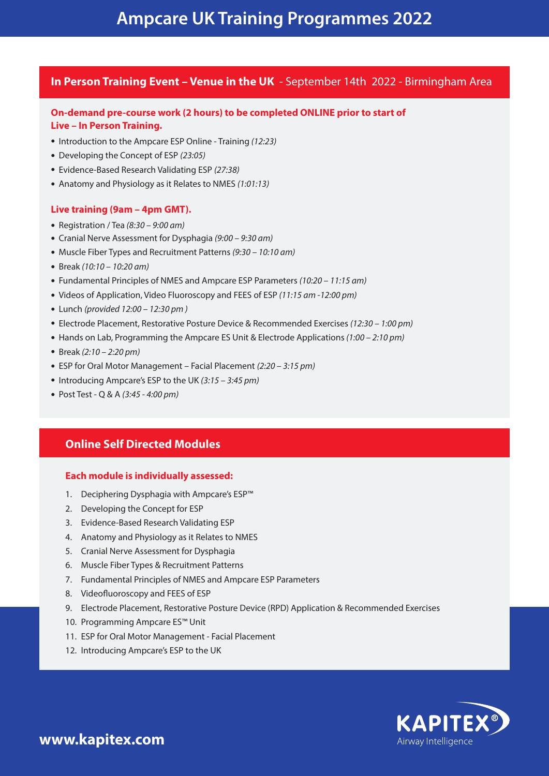## **In Person Training Event – Venue in the UK** - September 14th 2022 - Birmingham Area

## **On-demand pre-course work (2 hours) to be completed ONLINE prior to start of Live – In Person Training.**

- Introduction to the Ampcare ESP Online Training *(12:23)*
- Developing the Concept of ESP *(23:05)*
- Evidence-Based Research Validating ESP *(27:38)*
- Anatomy and Physiology as it Relates to NMES *(1:01:13)*

#### **Live training (9am – 4pm GMT).**

- Registration / Tea *(8:30 9:00 am)*
- Cranial Nerve Assessment for Dysphagia *(9:00 9:30 am)*
- Muscle Fiber Types and Recruitment Patterns *(9:30 10:10 am)*
- Break *(10:10 10:20 am)*
- Fundamental Principles of NMES and Ampcare ESP Parameters *(10:20 11:15 am)*
- Videos of Application, Video Fluoroscopy and FEES of ESP *(11:15 am -12:00 pm)*
- Lunch *(provided 12:00 12:30 pm )*
- Electrode Placement, Restorative Posture Device & Recommended Exercises *(12:30 1:00 pm)*
- Hands on Lab, Programming the Ampcare ES Unit & Electrode Applications *(1:00 2:10 pm)*
- Break *(2:10 2:20 pm)*
- ESP for Oral Motor Management Facial Placement *(2:20 3:15 pm)*
- Introducing Ampcare's ESP to the UK *(3:15 3:45 pm)*
- Post Test Q & A *(3:45 4:00 pm)*

## **Online Self Directed Modules**

#### **Each module is individually assessed:**

- 1. Deciphering Dysphagia with Ampcare's ESP™
- 2. Developing the Concept for ESP
- 3. Evidence-Based Research Validating ESP
- 4. Anatomy and Physiology as it Relates to NMES
- 5. Cranial Nerve Assessment for Dysphagia
- 6. Muscle Fiber Types & Recruitment Patterns
- 7. Fundamental Principles of NMES and Ampcare ESP Parameters
- 8. Videofluoroscopy and FEES of ESP
- 9. Electrode Placement, Restorative Posture Device (RPD) Application & Recommended Exercises
- 10. Programming Ampcare ES™ Unit
- 11. ESP for Oral Motor Management Facial Placement
- 12. Introducing Ampcare's ESP to the UK



**www.kapitex.com**